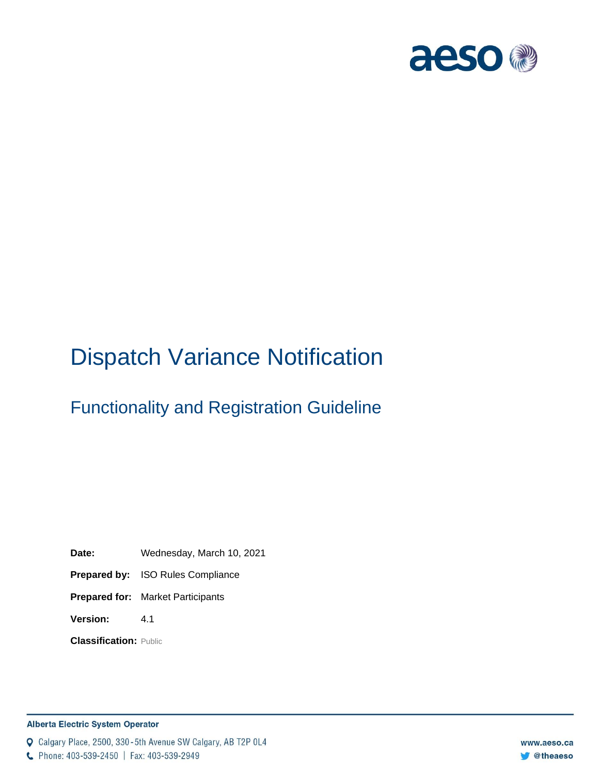

# Dispatch Variance Notification

# Functionality and Registration Guideline

**Date:** Wednesday, March 10, 2021

**Prepared by:** ISO Rules Compliance

**Prepared for:** Market Participants

**Version:** 4.1

**Classification:** Public

#### **Alberta Electric System Operator**

Q Calgary Place, 2500, 330-5th Avenue SW Calgary, AB T2P 0L4

C Phone: 403-539-2450 | Fax: 403-539-2949

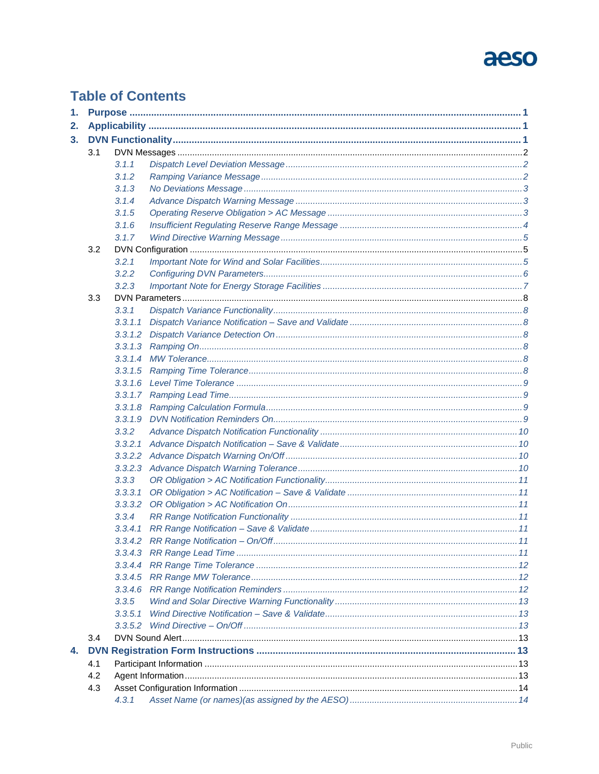# aeso

# **Table of Contents**

| 1. |     |         |  |
|----|-----|---------|--|
| 2. |     |         |  |
| 3. |     |         |  |
|    | 3.1 |         |  |
|    |     | 3.1.1   |  |
|    |     | 3.1.2   |  |
|    |     | 3.1.3   |  |
|    |     | 3.1.4   |  |
|    |     | 3.1.5   |  |
|    |     | 3.1.6   |  |
|    |     | 3.1.7   |  |
|    | 3.2 |         |  |
|    |     | 3.2.1   |  |
|    |     | 3.2.2   |  |
|    |     | 3.2.3   |  |
|    | 3.3 |         |  |
|    |     | 3.3.1   |  |
|    |     | 3.3.1.1 |  |
|    |     |         |  |
|    |     |         |  |
|    |     |         |  |
|    |     |         |  |
|    |     |         |  |
|    |     |         |  |
|    |     |         |  |
|    |     | 3.3.1.9 |  |
|    |     | 3.3.2   |  |
|    |     | 3,3,2,1 |  |
|    |     |         |  |
|    |     |         |  |
|    |     | 3.3.3   |  |
|    |     | 3,3,3,1 |  |
|    |     |         |  |
|    |     | 3.3.4   |  |
|    |     | 3,3,4,1 |  |
|    |     |         |  |
|    |     |         |  |
|    |     |         |  |
|    |     |         |  |
|    |     |         |  |
|    |     | 3.3.5   |  |
|    |     | 3.3.5.1 |  |
|    |     |         |  |
|    | 3.4 |         |  |
| 4. |     |         |  |
|    | 4.1 |         |  |
|    | 4.2 |         |  |
|    | 4.3 |         |  |
|    |     |         |  |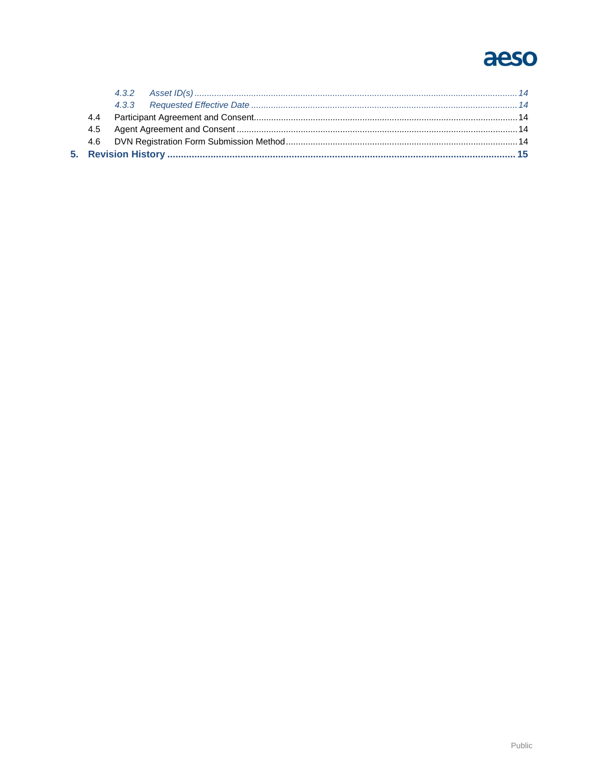# aeso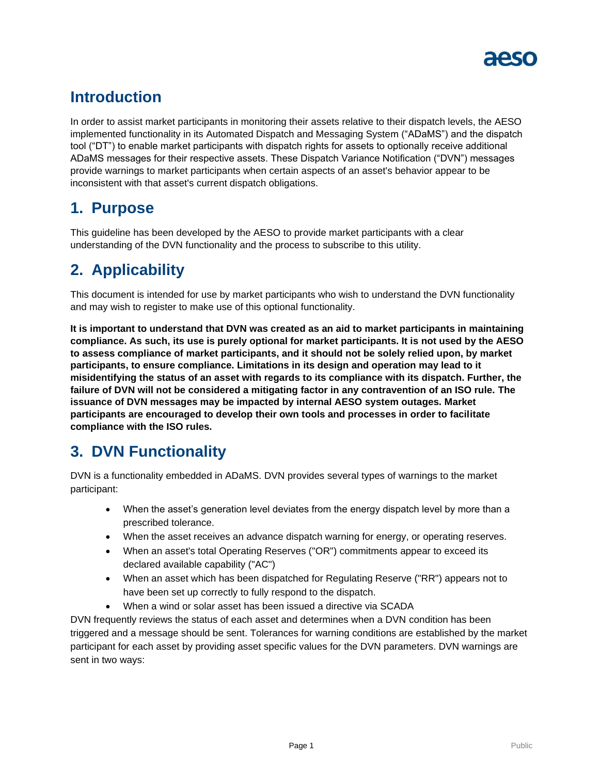

# **Introduction**

In order to assist market participants in monitoring their assets relative to their dispatch levels, the AESO implemented functionality in its Automated Dispatch and Messaging System ("ADaMS") and the dispatch tool ("DT") to enable market participants with dispatch rights for assets to optionally receive additional ADaMS messages for their respective assets. These Dispatch Variance Notification ("DVN") messages provide warnings to market participants when certain aspects of an asset's behavior appear to be inconsistent with that asset's current dispatch obligations.

# <span id="page-3-0"></span>**1. Purpose**

This guideline has been developed by the AESO to provide market participants with a clear understanding of the DVN functionality and the process to subscribe to this utility.

# <span id="page-3-1"></span>**2. Applicability**

This document is intended for use by market participants who wish to understand the DVN functionality and may wish to register to make use of this optional functionality.

**It is important to understand that DVN was created as an aid to market participants in maintaining compliance. As such, its use is purely optional for market participants. It is not used by the AESO to assess compliance of market participants, and it should not be solely relied upon, by market participants, to ensure compliance. Limitations in its design and operation may lead to it misidentifying the status of an asset with regards to its compliance with its dispatch. Further, the failure of DVN will not be considered a mitigating factor in any contravention of an ISO rule. The issuance of DVN messages may be impacted by internal AESO system outages. Market participants are encouraged to develop their own tools and processes in order to facilitate compliance with the ISO rules.**

# <span id="page-3-2"></span>**3. DVN Functionality**

DVN is a functionality embedded in ADaMS. DVN provides several types of warnings to the market participant:

- When the asset's generation level deviates from the energy dispatch level by more than a prescribed tolerance.
- When the asset receives an advance dispatch warning for energy, or operating reserves.
- When an asset's total Operating Reserves ("OR") commitments appear to exceed its declared available capability ("AC")
- When an asset which has been dispatched for Regulating Reserve ("RR") appears not to have been set up correctly to fully respond to the dispatch.
- When a wind or solar asset has been issued a directive via SCADA

DVN frequently reviews the status of each asset and determines when a DVN condition has been triggered and a message should be sent. Tolerances for warning conditions are established by the market participant for each asset by providing asset specific values for the DVN parameters. DVN warnings are sent in two ways: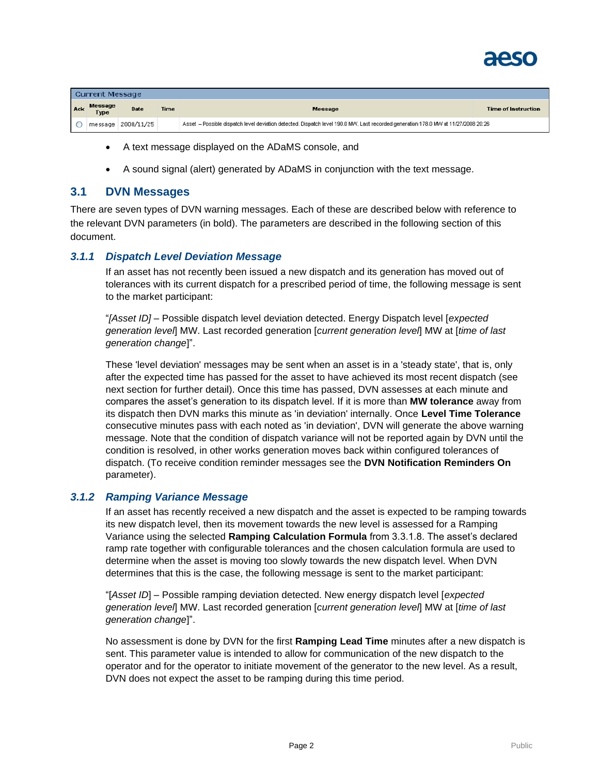

|     | Current Message |                    |      |                                                                                                                                    |                     |  |  |  |  |
|-----|-----------------|--------------------|------|------------------------------------------------------------------------------------------------------------------------------------|---------------------|--|--|--|--|
| Ack | Message<br>Type | <b>Date</b>        | Time | <b>Message</b>                                                                                                                     | Time of Instruction |  |  |  |  |
|     |                 | message 2008/11/25 |      | Asset - Possible dispatch level deviation detected. Dispatch level 190.0 MW. Last recorded generation 178.0 MW at 11/27/2008 20:26 |                     |  |  |  |  |

- A text message displayed on the ADaMS console, and
- A sound signal (alert) generated by ADaMS in conjunction with the text message.

#### <span id="page-4-0"></span>**3.1 DVN Messages**

There are seven types of DVN warning messages. Each of these are described below with reference to the relevant DVN parameters (in bold). The parameters are described in the following section of this document.

#### <span id="page-4-1"></span>*3.1.1 Dispatch Level Deviation Message*

If an asset has not recently been issued a new dispatch and its generation has moved out of tolerances with its current dispatch for a prescribed period of time, the following message is sent to the market participant:

"*[Asset ID]* – Possible dispatch level deviation detected. Energy Dispatch level [*expected generation level*] MW. Last recorded generation [*current generation level*] MW at [*time of last generation change*]".

These 'level deviation' messages may be sent when an asset is in a 'steady state', that is, only after the expected time has passed for the asset to have achieved its most recent dispatch (see next section for further detail). Once this time has passed, DVN assesses at each minute and compares the asset's generation to its dispatch level. If it is more than **MW tolerance** away from its dispatch then DVN marks this minute as 'in deviation' internally. Once **Level Time Tolerance** consecutive minutes pass with each noted as 'in deviation', DVN will generate the above warning message. Note that the condition of dispatch variance will not be reported again by DVN until the condition is resolved, in other works generation moves back within configured tolerances of dispatch. (To receive condition reminder messages see the **DVN Notification Reminders On** parameter).

#### <span id="page-4-2"></span>*3.1.2 Ramping Variance Message*

If an asset has recently received a new dispatch and the asset is expected to be ramping towards its new dispatch level, then its movement towards the new level is assessed for a Ramping Variance using the selected **Ramping Calculation Formula** from 3.3.1.8. The asset's declared ramp rate together with configurable tolerances and the chosen calculation formula are used to determine when the asset is moving too slowly towards the new dispatch level. When DVN determines that this is the case, the following message is sent to the market participant:

"[*Asset ID*] – Possible ramping deviation detected. New energy dispatch level [*expected generation level*] MW. Last recorded generation [*current generation level*] MW at [*time of last generation change*]".

No assessment is done by DVN for the first **Ramping Lead Time** minutes after a new dispatch is sent. This parameter value is intended to allow for communication of the new dispatch to the operator and for the operator to initiate movement of the generator to the new level. As a result, DVN does not expect the asset to be ramping during this time period.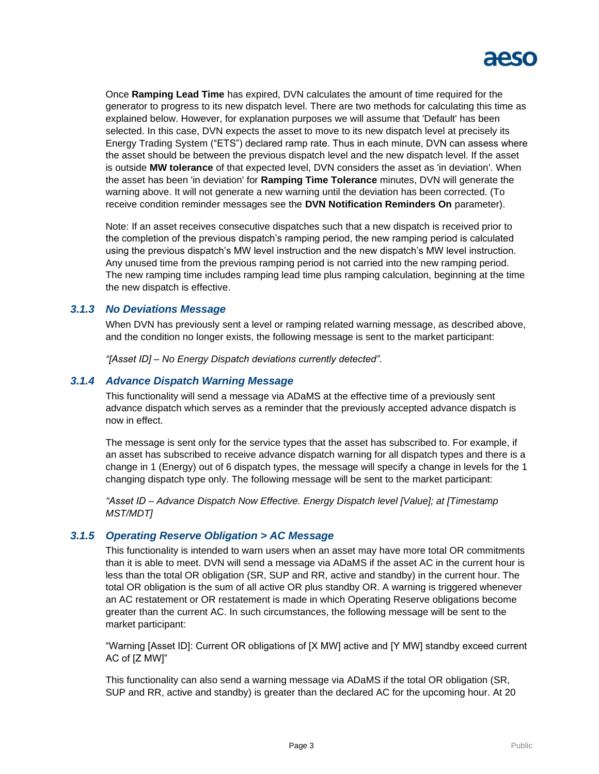

Once **Ramping Lead Time** has expired, DVN calculates the amount of time required for the generator to progress to its new dispatch level. There are two methods for calculating this time as explained below. However, for explanation purposes we will assume that 'Default' has been selected. In this case, DVN expects the asset to move to its new dispatch level at precisely its Energy Trading System ("ETS") declared ramp rate. Thus in each minute, DVN can assess where the asset should be between the previous dispatch level and the new dispatch level. If the asset is outside **MW tolerance** of that expected level, DVN considers the asset as 'in deviation'. When the asset has been 'in deviation' for **Ramping Time Tolerance** minutes, DVN will generate the warning above. It will not generate a new warning until the deviation has been corrected. (To receive condition reminder messages see the **DVN Notification Reminders On** parameter).

Note: If an asset receives consecutive dispatches such that a new dispatch is received prior to the completion of the previous dispatch's ramping period, the new ramping period is calculated using the previous dispatch's MW level instruction and the new dispatch's MW level instruction. Any unused time from the previous ramping period is not carried into the new ramping period. The new ramping time includes ramping lead time plus ramping calculation, beginning at the time the new dispatch is effective.

#### <span id="page-5-0"></span>*3.1.3 No Deviations Message*

When DVN has previously sent a level or ramping related warning message, as described above, and the condition no longer exists, the following message is sent to the market participant:

*"[Asset ID] – No Energy Dispatch deviations currently detected".*

#### <span id="page-5-1"></span>*3.1.4 Advance Dispatch Warning Message*

This functionality will send a message via ADaMS at the effective time of a previously sent advance dispatch which serves as a reminder that the previously accepted advance dispatch is now in effect.

The message is sent only for the service types that the asset has subscribed to. For example, if an asset has subscribed to receive advance dispatch warning for all dispatch types and there is a change in 1 (Energy) out of 6 dispatch types, the message will specify a change in levels for the 1 changing dispatch type only. The following message will be sent to the market participant:

*"Asset ID – Advance Dispatch Now Effective. Energy Dispatch level [Value]; at [Timestamp MST/MDT]*

#### <span id="page-5-2"></span>*3.1.5 Operating Reserve Obligation > AC Message*

This functionality is intended to warn users when an asset may have more total OR commitments than it is able to meet. DVN will send a message via ADaMS if the asset AC in the current hour is less than the total OR obligation (SR, SUP and RR, active and standby) in the current hour. The total OR obligation is the sum of all active OR plus standby OR. A warning is triggered whenever an AC restatement or OR restatement is made in which Operating Reserve obligations become greater than the current AC. In such circumstances, the following message will be sent to the market participant:

"Warning [Asset ID]: Current OR obligations of [X MW] active and [Y MW] standby exceed current AC of [Z MW]"

This functionality can also send a warning message via ADaMS if the total OR obligation (SR, SUP and RR, active and standby) is greater than the declared AC for the upcoming hour. At 20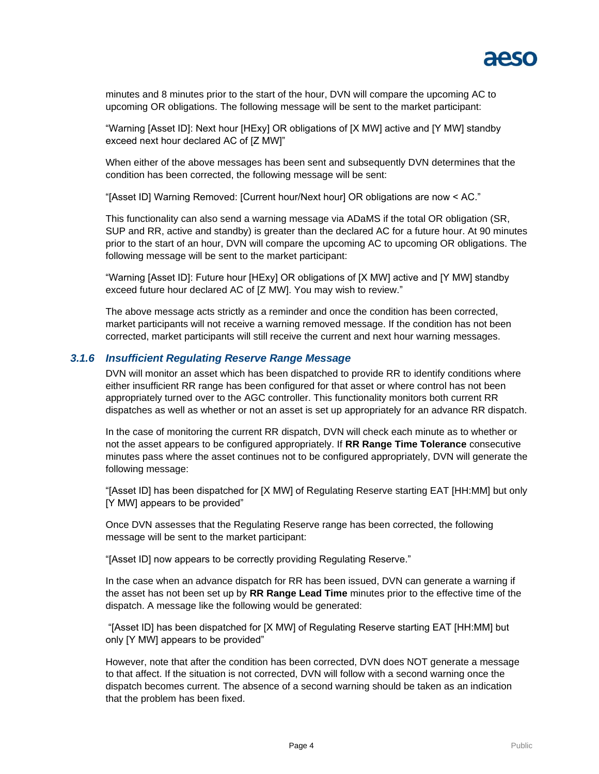

minutes and 8 minutes prior to the start of the hour, DVN will compare the upcoming AC to upcoming OR obligations. The following message will be sent to the market participant:

"Warning [Asset ID]: Next hour [HExy] OR obligations of [X MW] active and [Y MW] standby exceed next hour declared AC of [Z MW]"

When either of the above messages has been sent and subsequently DVN determines that the condition has been corrected, the following message will be sent:

"[Asset ID] Warning Removed: [Current hour/Next hour] OR obligations are now < AC."

This functionality can also send a warning message via ADaMS if the total OR obligation (SR, SUP and RR, active and standby) is greater than the declared AC for a future hour. At 90 minutes prior to the start of an hour, DVN will compare the upcoming AC to upcoming OR obligations. The following message will be sent to the market participant:

"Warning [Asset ID]: Future hour [HExy] OR obligations of [X MW] active and [Y MW] standby exceed future hour declared AC of [Z MW]. You may wish to review."

The above message acts strictly as a reminder and once the condition has been corrected, market participants will not receive a warning removed message. If the condition has not been corrected, market participants will still receive the current and next hour warning messages.

#### <span id="page-6-0"></span>*3.1.6 Insufficient Regulating Reserve Range Message*

DVN will monitor an asset which has been dispatched to provide RR to identify conditions where either insufficient RR range has been configured for that asset or where control has not been appropriately turned over to the AGC controller. This functionality monitors both current RR dispatches as well as whether or not an asset is set up appropriately for an advance RR dispatch.

In the case of monitoring the current RR dispatch, DVN will check each minute as to whether or not the asset appears to be configured appropriately. If **RR Range Time Tolerance** consecutive minutes pass where the asset continues not to be configured appropriately, DVN will generate the following message:

"[Asset ID] has been dispatched for [X MW] of Regulating Reserve starting EAT [HH:MM] but only [Y MW] appears to be provided"

Once DVN assesses that the Regulating Reserve range has been corrected, the following message will be sent to the market participant:

"[Asset ID] now appears to be correctly providing Regulating Reserve."

In the case when an advance dispatch for RR has been issued, DVN can generate a warning if the asset has not been set up by **RR Range Lead Time** minutes prior to the effective time of the dispatch. A message like the following would be generated:

"[Asset ID] has been dispatched for [X MW] of Regulating Reserve starting EAT [HH:MM] but only [Y MW] appears to be provided"

However, note that after the condition has been corrected, DVN does NOT generate a message to that affect. If the situation is not corrected, DVN will follow with a second warning once the dispatch becomes current. The absence of a second warning should be taken as an indication that the problem has been fixed.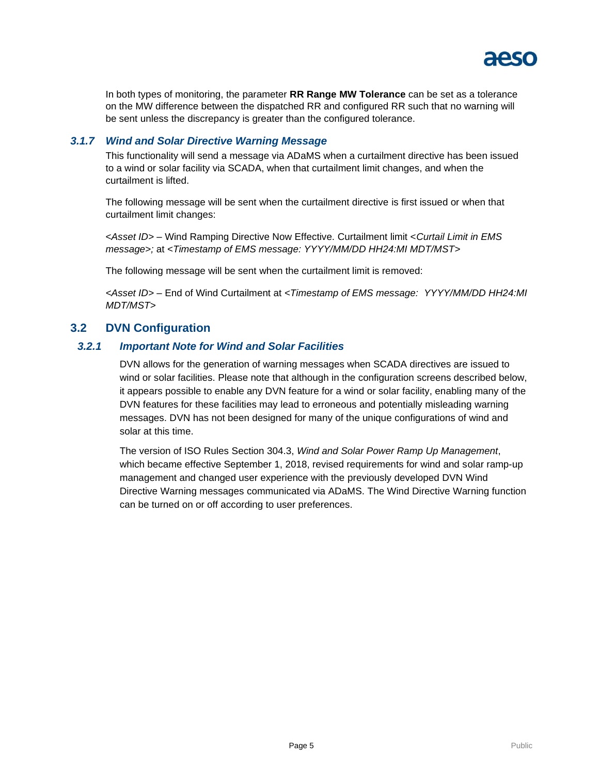

In both types of monitoring, the parameter **RR Range MW Tolerance** can be set as a tolerance on the MW difference between the dispatched RR and configured RR such that no warning will be sent unless the discrepancy is greater than the configured tolerance.

#### <span id="page-7-0"></span>*3.1.7 Wind and Solar Directive Warning Message*

This functionality will send a message via ADaMS when a curtailment directive has been issued to a wind or solar facility via SCADA, when that curtailment limit changes, and when the curtailment is lifted.

The following message will be sent when the curtailment directive is first issued or when that curtailment limit changes:

<*Asset ID>* – Wind Ramping Directive Now Effective. Curtailment limit <*Curtail Limit in EMS message>;* at *<Timestamp of EMS message: YYYY/MM/DD HH24:MI MDT/MST>*

The following message will be sent when the curtailment limit is removed:

*<Asset ID>* – End of Wind Curtailment at *<Timestamp of EMS message: YYYY/MM/DD HH24:MI MDT/MST>*

# <span id="page-7-1"></span>**3.2 DVN Configuration**

#### <span id="page-7-2"></span>*3.2.1 Important Note for Wind and Solar Facilities*

DVN allows for the generation of warning messages when SCADA directives are issued to wind or solar facilities. Please note that although in the configuration screens described below, it appears possible to enable any DVN feature for a wind or solar facility, enabling many of the DVN features for these facilities may lead to erroneous and potentially misleading warning messages. DVN has not been designed for many of the unique configurations of wind and solar at this time.

The version of ISO Rules Section 304.3, *Wind and Solar Power Ramp Up Management*, which became effective September 1, 2018, revised requirements for wind and solar ramp-up management and changed user experience with the previously developed DVN Wind Directive Warning messages communicated via ADaMS. The Wind Directive Warning function can be turned on or off according to user preferences.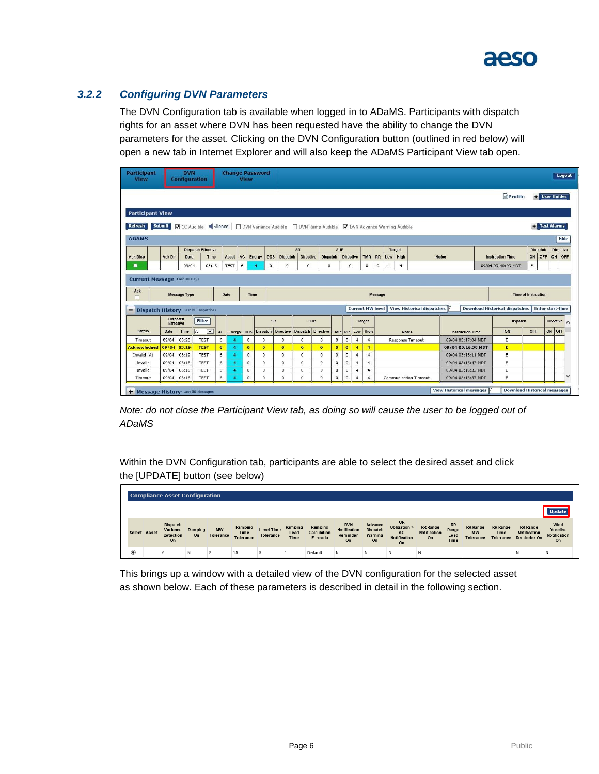

# <span id="page-8-0"></span>*3.2.2 Configuring DVN Parameters*

The DVN Configuration tab is available when logged in to ADaMS. Participants with dispatch rights for an asset where DVN has been requested have the ability to change the DVN parameters for the asset. Clicking on the DVN Configuration button (outlined in red below) will open a new tab in Internet Explorer and will also keep the ADaMS Participant View tab open.

| <b>Participant</b><br><b>View</b>                                                                               |                                     | <b>DVN</b><br><b>Configuration</b> |                                |      |             | <b>View</b>  | <b>Change Password</b> |                                                                     |                    |                 |                |                  |                |                         |                                      |                |                                   |                         |                                       |     |                            |                   | Logout |
|-----------------------------------------------------------------------------------------------------------------|-------------------------------------|------------------------------------|--------------------------------|------|-------------|--------------|------------------------|---------------------------------------------------------------------|--------------------|-----------------|----------------|------------------|----------------|-------------------------|--------------------------------------|----------------|-----------------------------------|-------------------------|---------------------------------------|-----|----------------------------|-------------------|--------|
|                                                                                                                 |                                     |                                    |                                |      |             |              |                        |                                                                     |                    |                 |                |                  |                |                         |                                      |                |                                   |                         | <b>Profile</b>                        |     | <b>User Guides</b>         |                   |        |
| <b>Participant View</b><br>Refresh                                                                              | <b>Submit</b>                       |                                    |                                |      |             |              |                        |                                                                     |                    |                 |                |                  |                |                         |                                      |                |                                   |                         |                                       |     | <b>Test Alarms</b>         |                   |        |
|                                                                                                                 |                                     |                                    | CC Audible Silence             |      |             |              |                        | DVN Variance Audible DVN Ramp Audible   DVN Advance Warning Audible |                    |                 |                |                  |                |                         |                                      |                |                                   |                         |                                       |     |                            |                   |        |
| <b>ADAMS</b>                                                                                                    |                                     |                                    |                                |      |             |              |                        |                                                                     |                    |                 |                |                  |                |                         |                                      |                |                                   |                         |                                       |     |                            |                   | Hide   |
|                                                                                                                 |                                     |                                    | <b>Dispatch Effective</b>      |      |             |              |                        |                                                                     | SR                 |                 | <b>SUP</b>     |                  |                |                         |                                      | Target         |                                   |                         |                                       |     | <b>Dispatch</b>            | <b>Directive</b>  |        |
|                                                                                                                 | <b>Ack Dir</b>                      | Date                               | Time                           |      | Asset       | AC           | <b>DDS</b><br>Energy   | <b>Dispatch</b>                                                     | <b>Directive</b>   | <b>Dispatch</b> |                | <b>Directive</b> |                | <b>TMR</b>              | RR                                   | Low High       |                                   | <b>Notes</b>            | <b>Instruction Time</b>               | ON  | OFF                        | ON OFF            |        |
|                                                                                                                 |                                     |                                    |                                |      |             |              |                        |                                                                     |                    |                 |                |                  |                |                         |                                      | $\overline{4}$ |                                   |                         |                                       |     |                            |                   |        |
|                                                                                                                 |                                     | 09/04<br><b>Message Type</b>       | 03:43                          | Date | <b>TEST</b> | 6<br>Time    | $\theta$<br>4          | $\circ$                                                             | $\circ$            | $\circ$         |                | $\circ$          |                | $\circ$                 | $\circ$<br>$\overline{4}$<br>Message |                |                                   |                         | 09/04 03:40:03 MDT                    | E   | <b>Time of Instruction</b> |                   |        |
| <b>Ack Disp</b><br>۰<br><b>Current Message-Last 30 Days</b><br>Ack<br>Dispatch History- Last 50 Dispatches<br>- |                                     |                                    |                                |      |             |              |                        |                                                                     |                    |                 |                |                  |                | <b>Current MW level</b> |                                      |                | <b>View Historical dispatches</b> |                         | <b>Download Historical dispatches</b> |     | <b>Enter start-time</b>    |                   |        |
|                                                                                                                 | <b>Dispatch</b><br><b>Effective</b> |                                    | Filter                         |      |             |              | SR                     |                                                                     | <b>SUP</b>         |                 |                |                  |                | Target                  |                                      |                |                                   |                         | Dispatch                              |     |                            | Directive $\land$ |        |
| <b>Status</b>                                                                                                   | Date                                | Time                               | All<br>$\overline{\mathbf{v}}$ | AC   | Energy DDS  |              | <b>Dispatch</b>        | <b>Directive</b>                                                    | Dispatch Directive |                 | <b>TMR</b>     |                  | RR Low High    |                         |                                      | <b>Notes</b>   |                                   | <b>Instruction Time</b> | ON                                    | OFF |                            | ON OFF            |        |
| Timeout                                                                                                         | 09/04                               | 03:20                              | <b>TEST</b>                    | 6    |             | $\circ$      | $\circ$                | $\circ$                                                             | $\circ$            | $\circ$         | $\circ$        | $\mathbf 0$      | $\overline{4}$ | $\overline{4}$          |                                      |                | <b>Response Timeout</b>           | 09/04 03:17:04 MDT      | Ε                                     |     |                            |                   |        |
|                                                                                                                 | 09/04                               | 03:19                              | <b>TEST</b>                    | 6    |             | $\bf{0}$     | $\mathbf{0}$           | $\bullet$                                                           | $\bf{0}$           | $\mathbf{0}$    | $\overline{0}$ | $\overline{0}$   | $\overline{4}$ | $\overline{4}$          |                                      |                |                                   | 09/04 03:16:38 MDT      | E                                     |     |                            |                   |        |
|                                                                                                                 | 09/04                               | 03:19                              | <b>TEST</b>                    | 6    |             | $\mathbf{0}$ | $\circ$                | $\circ$                                                             | $\Omega$           | $\circ$         | $\circ$        | $\overline{0}$   | $\overline{4}$ | $\overline{4}$          |                                      |                |                                   | 09/04 03:16:11 MDT      | E                                     |     |                            |                   |        |
| Invalid                                                                                                         | 09/04                               | 03:18                              | <b>TEST</b>                    | 6    |             | $\circ$      | $\circ$                | $^{\circ}$                                                          | $\circ$            | $\circ$         | 0              | $\circ$          | $\overline{4}$ | $\overline{4}$          |                                      |                |                                   | 09/04 03:15:47 MDT      | Ε                                     |     |                            |                   |        |
| <b>Acknowledged</b><br>Invalid (A)<br>Invalid                                                                   | 09/04                               | 03:18                              | <b>TEST</b>                    | 6    |             | $^{\circ}$   | $\circ$                | 0                                                                   | $^{\circ}$         | 0               | $\circ$        | $\circ$          | $\overline{4}$ | $\overline{4}$          |                                      |                |                                   | 09/04 03:15:33 MDT      | E                                     |     |                            |                   |        |

*Note: do not close the Participant View tab, as doing so will cause the user to be logged out of ADaMS*

Within the DVN Configuration tab, participants are able to select the desired asset and click the [UPDATE] button (see below)

|                |              | <b>Compliance Asset Configuration</b>                        |               |                        |                                     |                         |                         |                                   |                                              |                                             |                                                              |                                              |                                    |                                           |                                      |                                                       |                                                              |
|----------------|--------------|--------------------------------------------------------------|---------------|------------------------|-------------------------------------|-------------------------|-------------------------|-----------------------------------|----------------------------------------------|---------------------------------------------|--------------------------------------------------------------|----------------------------------------------|------------------------------------|-------------------------------------------|--------------------------------------|-------------------------------------------------------|--------------------------------------------------------------|
|                |              |                                                              |               |                        |                                     |                         |                         |                                   |                                              |                                             |                                                              |                                              |                                    |                                           |                                      |                                                       |                                                              |
|                | Select Asset | <b>Dispatch</b><br>Variance<br><b>Detection</b><br><b>On</b> | Ramping<br>On | <b>MW</b><br>Tolerance | Ramping<br>Time<br><b>Tolerance</b> | Level Time<br>Tolerance | Ramping<br>Lead<br>Time | Ramping<br>Calculation<br>Formula | <b>DVN</b><br>Notification<br>Reminder<br>On | Advance<br><b>Dispatch</b><br>Warning<br>On | OR<br>Obligation ><br><b>AC</b><br><b>Notification</b><br>On | <b>RR</b> Range<br><b>Notification</b><br>On | <b>RR</b><br>Range<br>Lead<br>Time | <b>RR</b> Range<br><b>MW</b><br>Tolerance | <b>RR</b> Range<br>Time<br>Tolerance | <b>RR</b> Range<br><b>Notification</b><br>Reminder On | Wind<br><b>Directive</b><br><b>Notification</b><br><b>On</b> |
| $\circledcirc$ |              |                                                              | N             | 5                      | 15                                  |                         |                         | Default                           | N                                            | N                                           | Ν                                                            | N                                            |                                    |                                           |                                      | Ν                                                     | Ν                                                            |

This brings up a window with a detailed view of the DVN configuration for the selected asset as shown below. Each of these parameters is described in detail in the following section.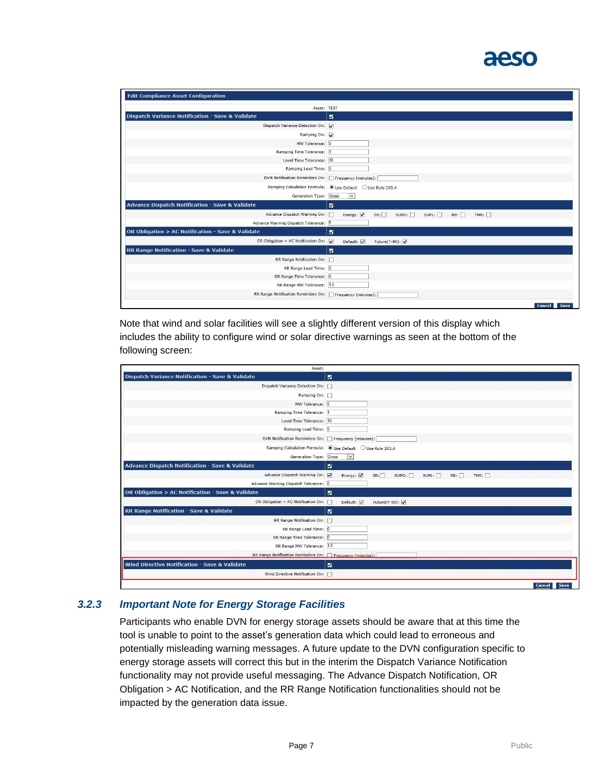# aeso

| <b>Edit Compliance Asset Configuration</b>                  |                                                                |
|-------------------------------------------------------------|----------------------------------------------------------------|
|                                                             | Asset: TEST                                                    |
| <b>Dispatch Variance Notification - Save &amp; Validate</b> | $\blacksquare$                                                 |
| Dispatch Variance Detection On: V                           |                                                                |
| Ramping On: V                                               |                                                                |
| MW Tolerance: 5                                             |                                                                |
| Ramping Time Tolerance: 1                                   |                                                                |
| Level Time Tolerance: 10                                    |                                                                |
| Ramping Lead Time: 5                                        |                                                                |
| DVN Notification Reminders On: Frequency (minutes):         |                                                                |
|                                                             | Ramping Calculation Formula: O Use Default O Use Rule 203.4    |
| Generation Type: Gross                                      | $\vee$                                                         |
| <b>Advance Dispatch Notification - Save &amp; Validate</b>  | $\blacksquare$                                                 |
| Advance Dispatch Warning On:                                | г<br>Energy: $\sqrt{}$<br>SR:<br>SUPG:<br>SUPL:<br>TMR:<br>RR: |
| Advance Warning Dispatch Tolerance: 5                       |                                                                |
| OR Obligation > AC Notification - Save & Validate           | $\blacksquare$                                                 |
| OR Obligation > AC Notification On:                         | $\overline{\mathbf{v}}$<br>Default:<br>Future(T-90): V         |
| RR Range Notification - Save & Validate                     | $\overline{\mathbf{z}}$                                        |
| RR Range Notification On:                                   |                                                                |
| RR Range Lead Time: 0                                       |                                                                |
| RR Range Time Tolerance: 0                                  |                                                                |
| RR Range MW Tolerance: 1.0                                  |                                                                |
| RR Range Notification Reminders On: Frequency (minutes):    |                                                                |
|                                                             | <b>Cancel</b><br>Save                                          |

Note that wind and solar facilities will see a slightly different version of this display which includes the ability to configure wind or solar directive warnings as seen at the bottom of the following screen:

| Asset:                                                      |                                                             |
|-------------------------------------------------------------|-------------------------------------------------------------|
| <b>Dispatch Variance Notification - Save &amp; Validate</b> | $\blacksquare$                                              |
| Dispatch Variance Detection On:                             |                                                             |
| Ramping On:                                                 |                                                             |
| MW Tolerance: 5                                             |                                                             |
| Ramping Time Tolerance:                                     |                                                             |
| Level Time Tolerance: 10                                    |                                                             |
| Ramping Lead Time: 5                                        |                                                             |
| DVN Notification Reminders On: Frequency (minutes):         |                                                             |
|                                                             | Ramping Calculation Formula: ● Use Default ● Use Rule 203.4 |
| Generation Type: Gross                                      | $\overline{\mathbf{v}}$                                     |
| <b>Advance Dispatch Notification - Save &amp; Validate</b>  | $\blacksquare$                                              |
| Advance Dispatch Warning On: V                              | Energy: $\sqrt{}$<br>SR:<br>SUBG:<br>SUPL:<br>TMR:<br>RR:   |
| Advance Warning Dispatch Tolerance: 5                       |                                                             |
| OR Obligation > AC Notification - Save & Validate           | $\overline{\mathbf{z}}$                                     |
| OR Obligation > AC Notification On:                         | П<br>Default:<br>Future(T-90): V                            |
| RR Range Notification - Save & Validate                     | $\blacksquare$                                              |
| RR Range Notification On:                                   |                                                             |
| RR Range Lead Time: 0                                       |                                                             |
| RR Range Time Tolerance: 0                                  |                                                             |
| RR Range MW Tolerance: 1.0                                  |                                                             |
| RR Range Notification Reminders On: Frequency (minutes):    |                                                             |
| Wind Directive Notification - Save & Validate               | $\blacksquare$                                              |
| Wind Directive Notification On:                             |                                                             |
|                                                             | Cancel<br>Save                                              |

### *3.2.3 Important Note for Energy Storage Facilities*

Participants who enable DVN for energy storage assets should be aware that at this time the tool is unable to point to the asset's generation data which could lead to erroneous and potentially misleading warning messages. A future update to the DVN configuration specific to energy storage assets will correct this but in the interim the Dispatch Variance Notification functionality may not provide useful messaging. The Advance Dispatch Notification, OR Obligation > AC Notification, and the RR Range Notification functionalities should not be impacted by the generation data issue.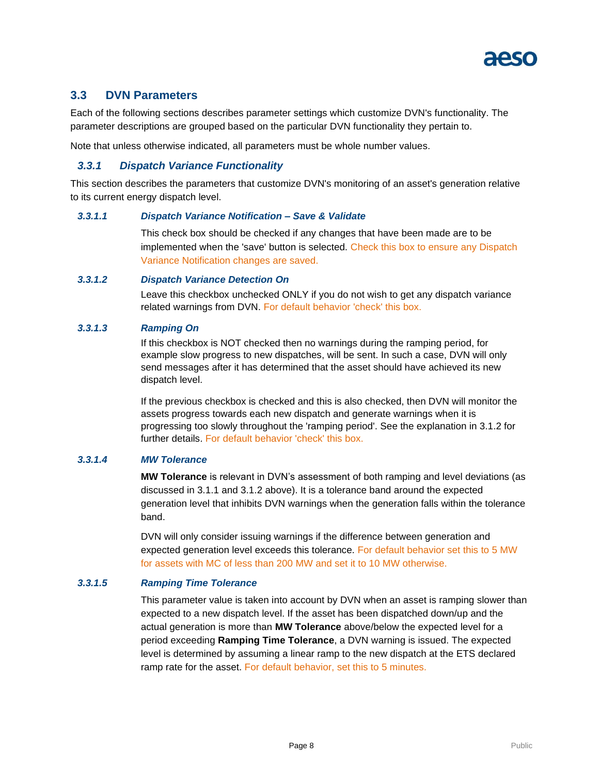

# <span id="page-10-0"></span>**3.3 DVN Parameters**

Each of the following sections describes parameter settings which customize DVN's functionality. The parameter descriptions are grouped based on the particular DVN functionality they pertain to.

Note that unless otherwise indicated, all parameters must be whole number values.

### <span id="page-10-1"></span>*3.3.1 Dispatch Variance Functionality*

This section describes the parameters that customize DVN's monitoring of an asset's generation relative to its current energy dispatch level.

#### <span id="page-10-2"></span>*3.3.1.1 Dispatch Variance Notification – Save & Validate*

This check box should be checked if any changes that have been made are to be implemented when the 'save' button is selected. Check this box to ensure any Dispatch Variance Notification changes are saved.

#### <span id="page-10-3"></span>*3.3.1.2 Dispatch Variance Detection On*

Leave this checkbox unchecked ONLY if you do not wish to get any dispatch variance related warnings from DVN. For default behavior 'check' this box.

#### <span id="page-10-4"></span>*3.3.1.3 Ramping On*

If this checkbox is NOT checked then no warnings during the ramping period, for example slow progress to new dispatches, will be sent. In such a case, DVN will only send messages after it has determined that the asset should have achieved its new dispatch level.

If the previous checkbox is checked and this is also checked, then DVN will monitor the assets progress towards each new dispatch and generate warnings when it is progressing too slowly throughout the 'ramping period'. See the explanation in 3.1.2 for further details. For default behavior 'check' this box.

#### <span id="page-10-5"></span>*3.3.1.4 MW Tolerance*

**MW Tolerance** is relevant in DVN's assessment of both ramping and level deviations (as discussed in 3.1.1 and 3.1.2 above). It is a tolerance band around the expected generation level that inhibits DVN warnings when the generation falls within the tolerance band.

DVN will only consider issuing warnings if the difference between generation and expected generation level exceeds this tolerance. For default behavior set this to 5 MW for assets with MC of less than 200 MW and set it to 10 MW otherwise.

#### <span id="page-10-6"></span>*3.3.1.5 Ramping Time Tolerance*

This parameter value is taken into account by DVN when an asset is ramping slower than expected to a new dispatch level. If the asset has been dispatched down/up and the actual generation is more than **MW Tolerance** above/below the expected level for a period exceeding **Ramping Time Tolerance**, a DVN warning is issued. The expected level is determined by assuming a linear ramp to the new dispatch at the ETS declared ramp rate for the asset. For default behavior, set this to 5 minutes.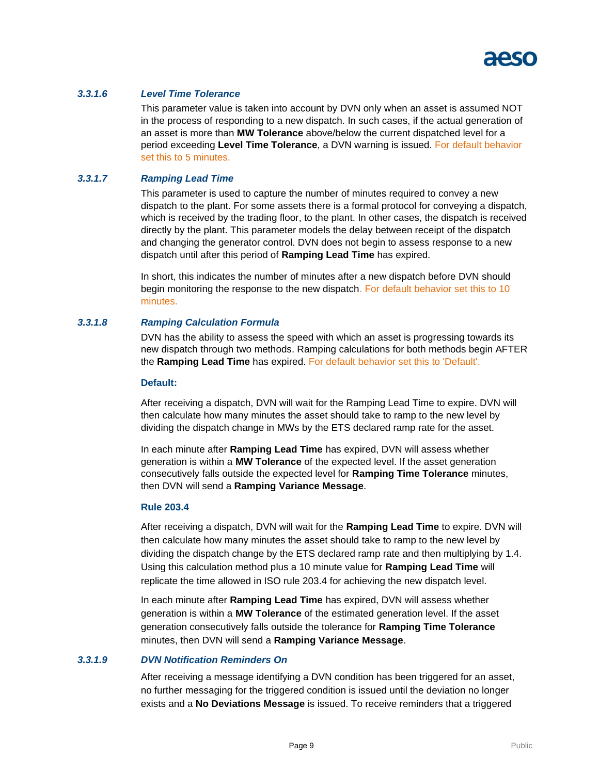

#### <span id="page-11-0"></span>*3.3.1.6 Level Time Tolerance*

This parameter value is taken into account by DVN only when an asset is assumed NOT in the process of responding to a new dispatch. In such cases, if the actual generation of an asset is more than **MW Tolerance** above/below the current dispatched level for a period exceeding **Level Time Tolerance**, a DVN warning is issued. For default behavior set this to 5 minutes.

#### <span id="page-11-1"></span>*3.3.1.7 Ramping Lead Time*

This parameter is used to capture the number of minutes required to convey a new dispatch to the plant. For some assets there is a formal protocol for conveying a dispatch, which is received by the trading floor, to the plant. In other cases, the dispatch is received directly by the plant. This parameter models the delay between receipt of the dispatch and changing the generator control. DVN does not begin to assess response to a new dispatch until after this period of **Ramping Lead Time** has expired.

In short, this indicates the number of minutes after a new dispatch before DVN should begin monitoring the response to the new dispatch. For default behavior set this to 10 minutes.

#### <span id="page-11-2"></span>*3.3.1.8 Ramping Calculation Formula*

DVN has the ability to assess the speed with which an asset is progressing towards its new dispatch through two methods. Ramping calculations for both methods begin AFTER the **Ramping Lead Time** has expired. For default behavior set this to 'Default'.

#### **Default:**

After receiving a dispatch, DVN will wait for the Ramping Lead Time to expire. DVN will then calculate how many minutes the asset should take to ramp to the new level by dividing the dispatch change in MWs by the ETS declared ramp rate for the asset.

In each minute after **Ramping Lead Time** has expired, DVN will assess whether generation is within a **MW Tolerance** of the expected level. If the asset generation consecutively falls outside the expected level for **Ramping Time Tolerance** minutes, then DVN will send a **Ramping Variance Message**.

#### **Rule 203.4**

After receiving a dispatch, DVN will wait for the **Ramping Lead Time** to expire. DVN will then calculate how many minutes the asset should take to ramp to the new level by dividing the dispatch change by the ETS declared ramp rate and then multiplying by 1.4. Using this calculation method plus a 10 minute value for **Ramping Lead Time** will replicate the time allowed in ISO rule 203.4 for achieving the new dispatch level.

In each minute after **Ramping Lead Time** has expired, DVN will assess whether generation is within a **MW Tolerance** of the estimated generation level. If the asset generation consecutively falls outside the tolerance for **Ramping Time Tolerance** minutes, then DVN will send a **Ramping Variance Message**.

#### <span id="page-11-3"></span>*3.3.1.9 DVN Notification Reminders On*

After receiving a message identifying a DVN condition has been triggered for an asset, no further messaging for the triggered condition is issued until the deviation no longer exists and a **No Deviations Message** is issued. To receive reminders that a triggered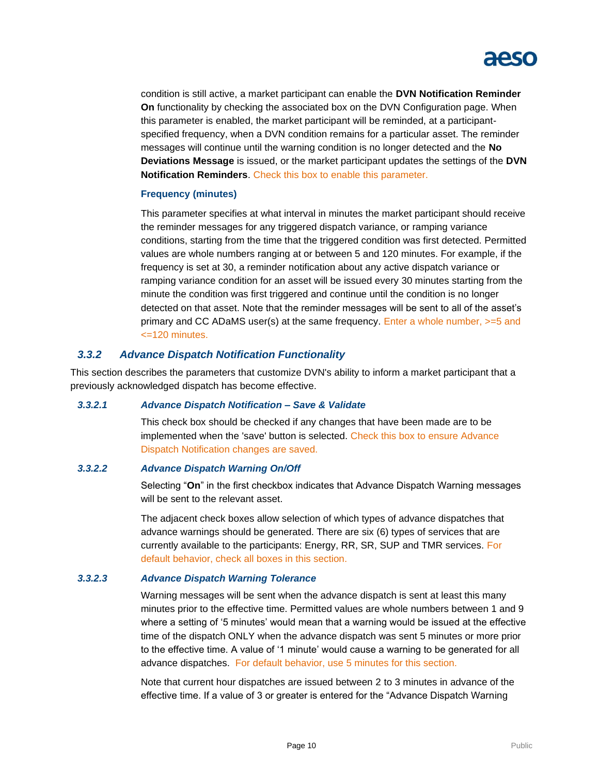

condition is still active, a market participant can enable the **DVN Notification Reminder On** functionality by checking the associated box on the DVN Configuration page. When this parameter is enabled, the market participant will be reminded, at a participantspecified frequency, when a DVN condition remains for a particular asset. The reminder messages will continue until the warning condition is no longer detected and the **No Deviations Message** is issued, or the market participant updates the settings of the **DVN Notification Reminders**. Check this box to enable this parameter.

#### **Frequency (minutes)**

This parameter specifies at what interval in minutes the market participant should receive the reminder messages for any triggered dispatch variance, or ramping variance conditions, starting from the time that the triggered condition was first detected. Permitted values are whole numbers ranging at or between 5 and 120 minutes. For example, if the frequency is set at 30, a reminder notification about any active dispatch variance or ramping variance condition for an asset will be issued every 30 minutes starting from the minute the condition was first triggered and continue until the condition is no longer detected on that asset. Note that the reminder messages will be sent to all of the asset's primary and CC ADaMS user(s) at the same frequency. Enter a whole number, >=5 and <=120 minutes.

#### <span id="page-12-0"></span>*3.3.2 Advance Dispatch Notification Functionality*

This section describes the parameters that customize DVN's ability to inform a market participant that a previously acknowledged dispatch has become effective.

#### <span id="page-12-1"></span>*3.3.2.1 Advance Dispatch Notification – Save & Validate*

This check box should be checked if any changes that have been made are to be implemented when the 'save' button is selected. Check this box to ensure Advance Dispatch Notification changes are saved.

#### <span id="page-12-2"></span>*3.3.2.2 Advance Dispatch Warning On/Off*

Selecting "**On**" in the first checkbox indicates that Advance Dispatch Warning messages will be sent to the relevant asset.

The adjacent check boxes allow selection of which types of advance dispatches that advance warnings should be generated. There are six (6) types of services that are currently available to the participants: Energy, RR, SR, SUP and TMR services. For default behavior, check all boxes in this section.

#### <span id="page-12-3"></span>*3.3.2.3 Advance Dispatch Warning Tolerance*

Warning messages will be sent when the advance dispatch is sent at least this many minutes prior to the effective time. Permitted values are whole numbers between 1 and 9 where a setting of '5 minutes' would mean that a warning would be issued at the effective time of the dispatch ONLY when the advance dispatch was sent 5 minutes or more prior to the effective time. A value of '1 minute' would cause a warning to be generated for all advance dispatches. For default behavior, use 5 minutes for this section.

Note that current hour dispatches are issued between 2 to 3 minutes in advance of the effective time. If a value of 3 or greater is entered for the "Advance Dispatch Warning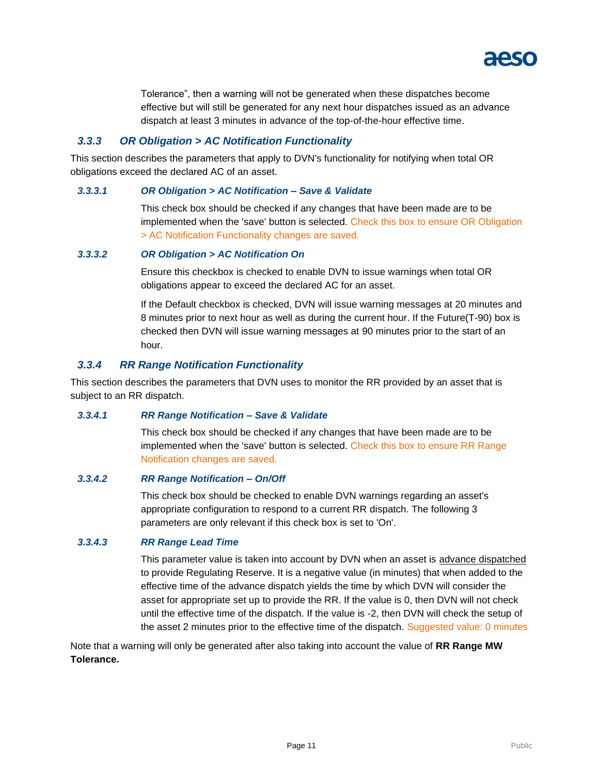

Tolerance", then a warning will not be generated when these dispatches become effective but will still be generated for any next hour dispatches issued as an advance dispatch at least 3 minutes in advance of the top-of-the-hour effective time.

### <span id="page-13-0"></span>*3.3.3 OR Obligation > AC Notification Functionality*

This section describes the parameters that apply to DVN's functionality for notifying when total OR obligations exceed the declared AC of an asset.

#### <span id="page-13-1"></span>*3.3.3.1 OR Obligation > AC Notification – Save & Validate*

This check box should be checked if any changes that have been made are to be implemented when the 'save' button is selected. Check this box to ensure OR Obligation > AC Notification Functionality changes are saved.

#### <span id="page-13-2"></span>*3.3.3.2 OR Obligation > AC Notification On*

Ensure this checkbox is checked to enable DVN to issue warnings when total OR obligations appear to exceed the declared AC for an asset.

If the Default checkbox is checked, DVN will issue warning messages at 20 minutes and 8 minutes prior to next hour as well as during the current hour. If the Future(T-90) box is checked then DVN will issue warning messages at 90 minutes prior to the start of an hour.

### <span id="page-13-3"></span>*3.3.4 RR Range Notification Functionality*

This section describes the parameters that DVN uses to monitor the RR provided by an asset that is subject to an RR dispatch.

#### <span id="page-13-4"></span>*3.3.4.1 RR Range Notification – Save & Validate*

This check box should be checked if any changes that have been made are to be implemented when the 'save' button is selected. Check this box to ensure RR Range Notification changes are saved.

#### <span id="page-13-5"></span>*3.3.4.2 RR Range Notification – On/Off*

This check box should be checked to enable DVN warnings regarding an asset's appropriate configuration to respond to a current RR dispatch. The following 3 parameters are only relevant if this check box is set to 'On'.

#### <span id="page-13-6"></span>*3.3.4.3 RR Range Lead Time*

This parameter value is taken into account by DVN when an asset is advance dispatched to provide Regulating Reserve. It is a negative value (in minutes) that when added to the effective time of the advance dispatch yields the time by which DVN will consider the asset for appropriate set up to provide the RR. If the value is 0, then DVN will not check until the effective time of the dispatch. If the value is -2, then DVN will check the setup of the asset 2 minutes prior to the effective time of the dispatch. Suggested value: 0 minutes

Note that a warning will only be generated after also taking into account the value of **RR Range MW Tolerance.**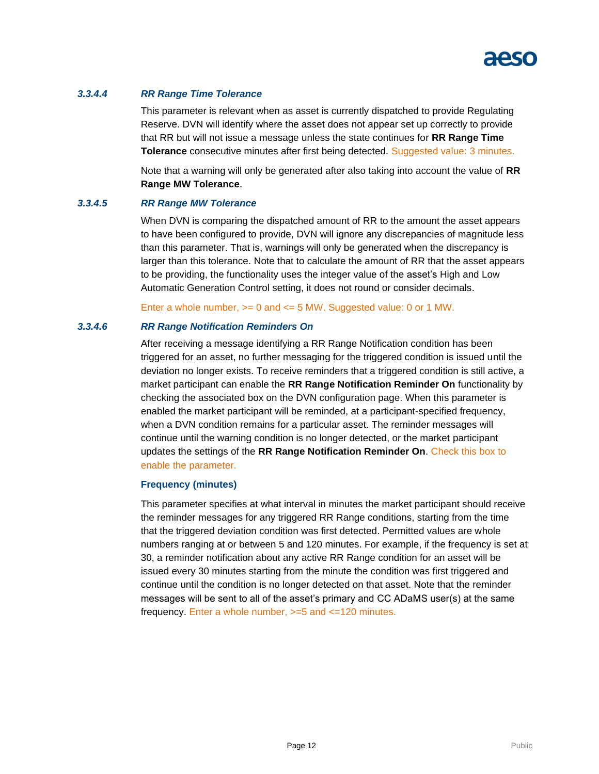

#### <span id="page-14-0"></span>*3.3.4.4 RR Range Time Tolerance*

This parameter is relevant when as asset is currently dispatched to provide Regulating Reserve. DVN will identify where the asset does not appear set up correctly to provide that RR but will not issue a message unless the state continues for **RR Range Time Tolerance** consecutive minutes after first being detected. Suggested value: 3 minutes.

Note that a warning will only be generated after also taking into account the value of **RR Range MW Tolerance**.

#### <span id="page-14-1"></span>*3.3.4.5 RR Range MW Tolerance*

When DVN is comparing the dispatched amount of RR to the amount the asset appears to have been configured to provide, DVN will ignore any discrepancies of magnitude less than this parameter. That is, warnings will only be generated when the discrepancy is larger than this tolerance. Note that to calculate the amount of RR that the asset appears to be providing, the functionality uses the integer value of the asset's High and Low Automatic Generation Control setting, it does not round or consider decimals.

Enter a whole number, >= 0 and <= 5 MW. Suggested value: 0 or 1 MW.

#### <span id="page-14-2"></span>*3.3.4.6 RR Range Notification Reminders On*

After receiving a message identifying a RR Range Notification condition has been triggered for an asset, no further messaging for the triggered condition is issued until the deviation no longer exists. To receive reminders that a triggered condition is still active, a market participant can enable the **RR Range Notification Reminder On** functionality by checking the associated box on the DVN configuration page. When this parameter is enabled the market participant will be reminded, at a participant-specified frequency, when a DVN condition remains for a particular asset. The reminder messages will continue until the warning condition is no longer detected, or the market participant updates the settings of the **RR Range Notification Reminder On**. Check this box to enable the parameter.

#### **Frequency (minutes)**

This parameter specifies at what interval in minutes the market participant should receive the reminder messages for any triggered RR Range conditions, starting from the time that the triggered deviation condition was first detected. Permitted values are whole numbers ranging at or between 5 and 120 minutes. For example, if the frequency is set at 30, a reminder notification about any active RR Range condition for an asset will be issued every 30 minutes starting from the minute the condition was first triggered and continue until the condition is no longer detected on that asset. Note that the reminder messages will be sent to all of the asset's primary and CC ADaMS user(s) at the same frequency. Enter a whole number, >=5 and <=120 minutes.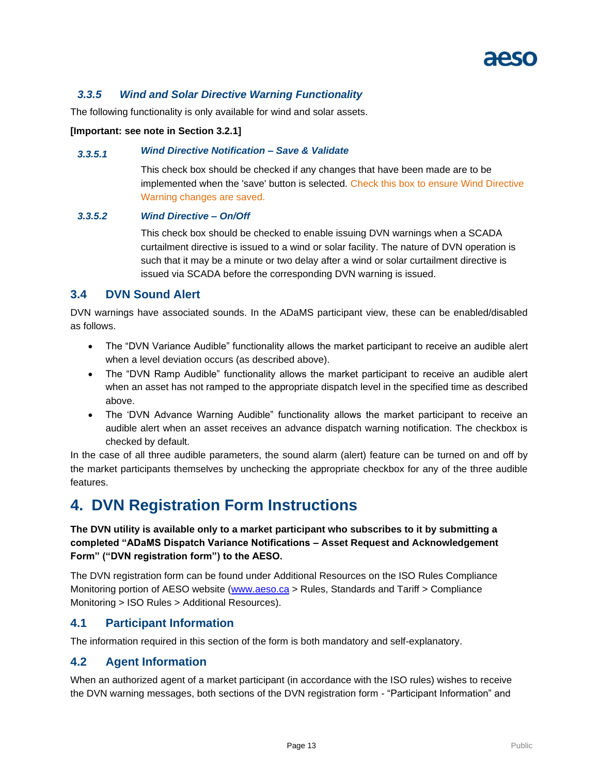# <span id="page-15-0"></span>*3.3.5 Wind and Solar Directive Warning Functionality*

The following functionality is only available for wind and solar assets.

#### **[Important: see note in Section 3.2.1]**

### <span id="page-15-1"></span>*3.3.5.1 Wind Directive Notification – Save & Validate*

This check box should be checked if any changes that have been made are to be implemented when the 'save' button is selected. Check this box to ensure Wind Directive Warning changes are saved.

#### <span id="page-15-2"></span>*3.3.5.2 Wind Directive – On/Off*

This check box should be checked to enable issuing DVN warnings when a SCADA curtailment directive is issued to a wind or solar facility. The nature of DVN operation is such that it may be a minute or two delay after a wind or solar curtailment directive is issued via SCADA before the corresponding DVN warning is issued.

# <span id="page-15-3"></span>**3.4 DVN Sound Alert**

DVN warnings have associated sounds. In the ADaMS participant view, these can be enabled/disabled as follows.

- The "DVN Variance Audible" functionality allows the market participant to receive an audible alert when a level deviation occurs (as described above).
- The "DVN Ramp Audible" functionality allows the market participant to receive an audible alert when an asset has not ramped to the appropriate dispatch level in the specified time as described above.
- The 'DVN Advance Warning Audible" functionality allows the market participant to receive an audible alert when an asset receives an advance dispatch warning notification. The checkbox is checked by default.

In the case of all three audible parameters, the sound alarm (alert) feature can be turned on and off by the market participants themselves by unchecking the appropriate checkbox for any of the three audible features.

# <span id="page-15-4"></span>**4. DVN Registration Form Instructions**

# **The DVN utility is available only to a market participant who subscribes to it by submitting a completed "ADaMS Dispatch Variance Notifications – Asset Request and Acknowledgement Form" ("DVN registration form") to the AESO.**

The DVN registration form can be found under Additional Resources on the ISO Rules Compliance Monitoring portion of AESO website [\(www.aeso.ca](http://www.aeso.ca/) > Rules, Standards and Tariff > Compliance Monitoring > ISO Rules > Additional Resources).

# <span id="page-15-5"></span>**4.1 Participant Information**

The information required in this section of the form is both mandatory and self-explanatory.

# <span id="page-15-6"></span>**4.2 Agent Information**

When an authorized agent of a market participant (in accordance with the ISO rules) wishes to receive the DVN warning messages, both sections of the DVN registration form - "Participant Information" and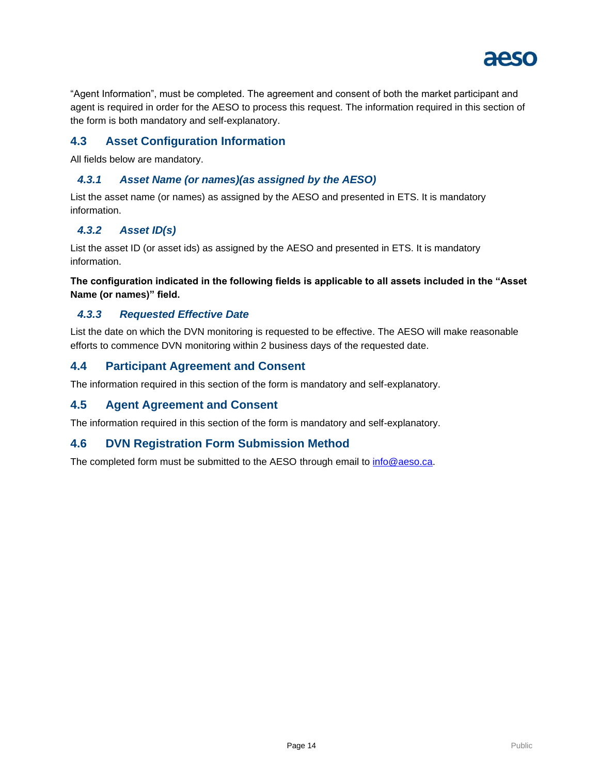

"Agent Information", must be completed. The agreement and consent of both the market participant and agent is required in order for the AESO to process this request. The information required in this section of the form is both mandatory and self-explanatory.

# <span id="page-16-0"></span>**4.3 Asset Configuration Information**

All fields below are mandatory.

### <span id="page-16-1"></span>*4.3.1 Asset Name (or names)(as assigned by the AESO)*

List the asset name (or names) as assigned by the AESO and presented in ETS. It is mandatory information.

# <span id="page-16-2"></span>*4.3.2 Asset ID(s)*

List the asset ID (or asset ids) as assigned by the AESO and presented in ETS. It is mandatory information.

**The configuration indicated in the following fields is applicable to all assets included in the "Asset Name (or names)" field.**

### <span id="page-16-3"></span>*4.3.3 Requested Effective Date*

List the date on which the DVN monitoring is requested to be effective. The AESO will make reasonable efforts to commence DVN monitoring within 2 business days of the requested date.

# <span id="page-16-4"></span>**4.4 Participant Agreement and Consent**

The information required in this section of the form is mandatory and self-explanatory.

# <span id="page-16-5"></span>**4.5 Agent Agreement and Consent**

The information required in this section of the form is mandatory and self-explanatory.

# <span id="page-16-6"></span>**4.6 DVN Registration Form Submission Method**

<span id="page-16-7"></span>The completed form must be submitted to the AESO through email to [info@aeso.ca.](mailto:info@aeso.ca)